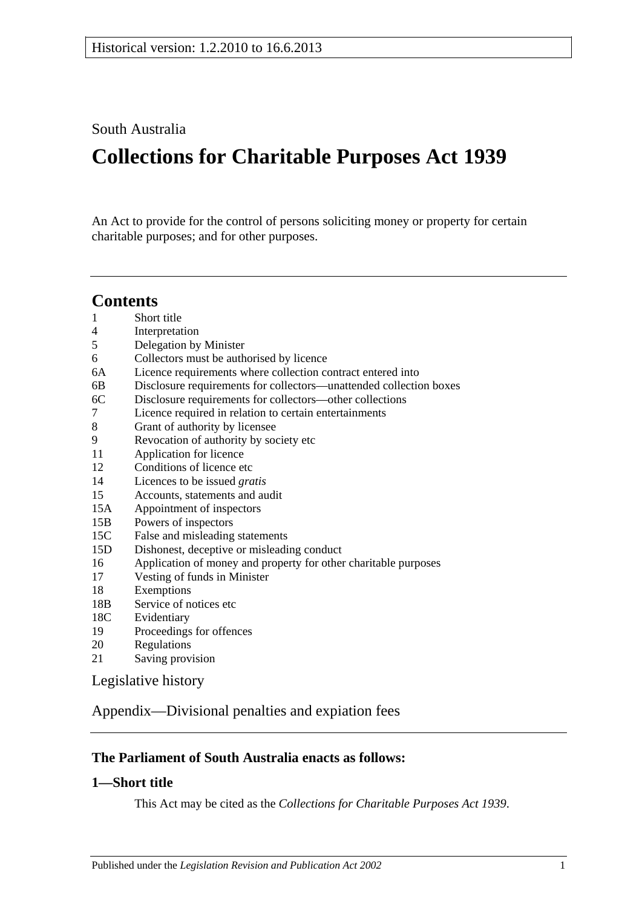South Australia

# **Collections for Charitable Purposes Act 1939**

An Act to provide for the control of persons soliciting money or property for certain charitable purposes; and for other purposes.

# **Contents**

- 1 [Short title](#page-0-0)
- 4 [Interpretation](#page-1-0)
- 5 [Delegation by Minister](#page-1-1)
- 6 [Collectors must be authorised by licence](#page-2-0)
- 6A [Licence requirements where collection contract entered into](#page-2-1)
- 6B [Disclosure requirements for collectors—unattended collection boxes](#page-3-0)
- 6C [Disclosure requirements for collectors—other collections](#page-3-1)
- 7 [Licence required in relation to certain entertainments](#page-4-0)
- 8 [Grant of authority by licensee](#page-5-0)
- 9 [Revocation of authority by society etc](#page-6-0)
- 11 [Application for licence](#page-6-1)
- 12 [Conditions of licence etc](#page-6-2)
- 14 [Licences to be issued](#page-7-0) *gratis*
- 15 [Accounts, statements and audit](#page-7-1)
- 15A [Appointment of inspectors](#page-8-0)
- 15B [Powers of inspectors](#page-8-1)
- 15C [False and misleading statements](#page-9-0)
- 15D [Dishonest, deceptive or misleading conduct](#page-9-1)
- 16 [Application of money and property for other charitable purposes](#page-10-0)
- 17 [Vesting of funds in Minister](#page-10-1)
- 18 [Exemptions](#page-10-2)
- 18B [Service of notices etc](#page-10-3)
- 18C [Evidentiary](#page-11-0)
- 19 [Proceedings for offences](#page-11-1)
- 20 [Regulations](#page-11-2)
- 21 [Saving provision](#page-12-0)

[Legislative history](#page-13-0)

[Appendix—Divisional penalties and expiation fees](#page-16-0)

## **The Parliament of South Australia enacts as follows:**

## <span id="page-0-0"></span>**1—Short title**

This Act may be cited as the *Collections for Charitable Purposes Act 1939*.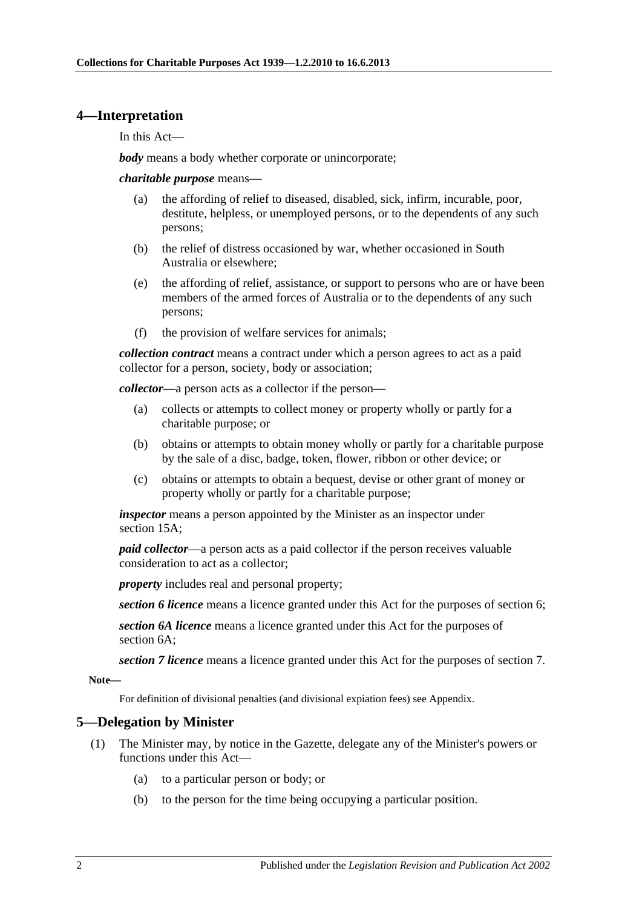#### <span id="page-1-0"></span>**4—Interpretation**

In this Act—

*body* means a body whether corporate or unincorporate;

*charitable purpose* means—

- (a) the affording of relief to diseased, disabled, sick, infirm, incurable, poor, destitute, helpless, or unemployed persons, or to the dependents of any such persons;
- (b) the relief of distress occasioned by war, whether occasioned in South Australia or elsewhere;
- (e) the affording of relief, assistance, or support to persons who are or have been members of the armed forces of Australia or to the dependents of any such persons;
- (f) the provision of welfare services for animals;

*collection contract* means a contract under which a person agrees to act as a paid collector for a person, society, body or association;

*collector*—a person acts as a collector if the person—

- (a) collects or attempts to collect money or property wholly or partly for a charitable purpose; or
- (b) obtains or attempts to obtain money wholly or partly for a charitable purpose by the sale of a disc, badge, token, flower, ribbon or other device; or
- (c) obtains or attempts to obtain a bequest, devise or other grant of money or property wholly or partly for a charitable purpose;

*inspector* means a person appointed by the Minister as an inspector under [section](#page-8-0) 15A;

*paid collector*—a person acts as a paid collector if the person receives valuable consideration to act as a collector;

*property* includes real and personal property;

*section 6 licence* means a licence granted under this Act for the purposes of section 6;

*section 6A licence* means a licence granted under this Act for the purposes of section 6A;

*section 7 licence* means a licence granted under this Act for the purposes of section 7.

**Note—**

For definition of divisional penalties (and divisional expiation fees) see Appendix.

## <span id="page-1-1"></span>**5—Delegation by Minister**

- (1) The Minister may, by notice in the Gazette, delegate any of the Minister's powers or functions under this Act—
	- (a) to a particular person or body; or
	- (b) to the person for the time being occupying a particular position.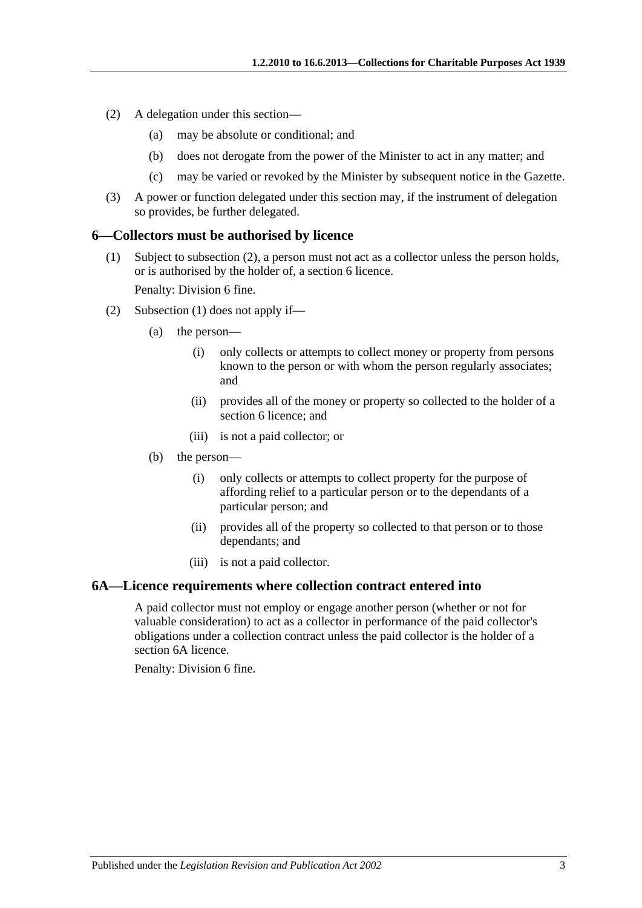- (2) A delegation under this section—
	- (a) may be absolute or conditional; and
	- (b) does not derogate from the power of the Minister to act in any matter; and
	- (c) may be varied or revoked by the Minister by subsequent notice in the Gazette.
- (3) A power or function delegated under this section may, if the instrument of delegation so provides, be further delegated.

#### <span id="page-2-3"></span><span id="page-2-0"></span>**6—Collectors must be authorised by licence**

(1) Subject to [subsection](#page-2-2) (2), a person must not act as a collector unless the person holds, or is authorised by the holder of, a [section](#page-2-0) 6 licence.

Penalty: Division 6 fine.

- <span id="page-2-2"></span>(2) [Subsection](#page-2-3) (1) does not apply if—
	- (a) the person—
		- (i) only collects or attempts to collect money or property from persons known to the person or with whom the person regularly associates; and
		- (ii) provides all of the money or property so collected to the holder of a [section](#page-2-0) 6 licence; and
		- (iii) is not a paid collector; or
	- (b) the person—
		- (i) only collects or attempts to collect property for the purpose of affording relief to a particular person or to the dependants of a particular person; and
		- (ii) provides all of the property so collected to that person or to those dependants; and
		- (iii) is not a paid collector.

#### <span id="page-2-1"></span>**6A—Licence requirements where collection contract entered into**

A paid collector must not employ or engage another person (whether or not for valuable consideration) to act as a collector in performance of the paid collector's obligations under a collection contract unless the paid collector is the holder of a [section](#page-2-1) 6A licence.

Penalty: Division 6 fine.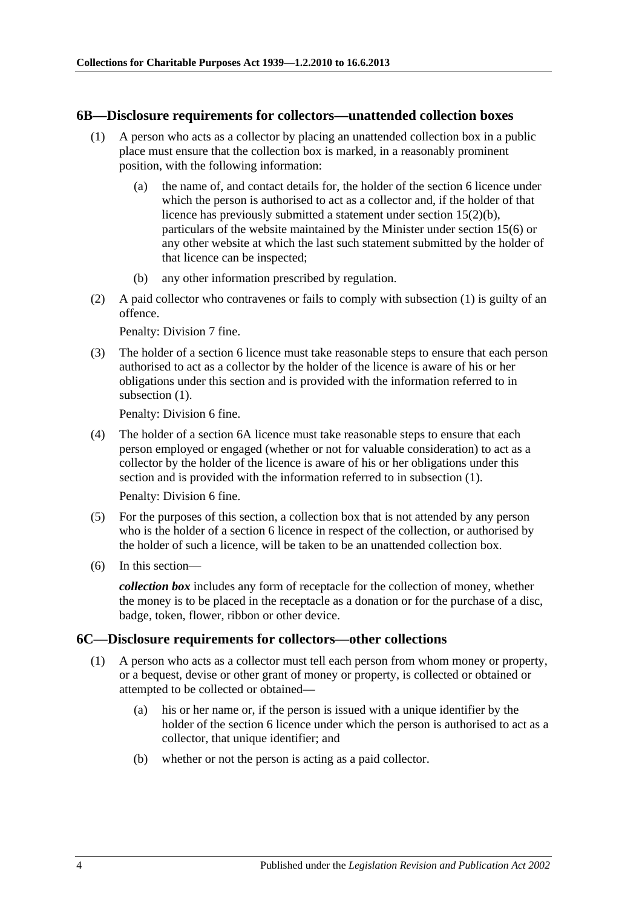#### <span id="page-3-2"></span><span id="page-3-0"></span>**6B—Disclosure requirements for collectors—unattended collection boxes**

- (1) A person who acts as a collector by placing an unattended collection box in a public place must ensure that the collection box is marked, in a reasonably prominent position, with the following information:
	- (a) the name of, and contact details for, the holder of the [section](#page-2-0) 6 licence under which the person is authorised to act as a collector and, if the holder of that licence has previously submitted a statement under section [15\(2\)\(b\),](#page-7-2) particulars of the website maintained by the Minister under [section](#page-8-2) 15(6) or any other website at which the last such statement submitted by the holder of that licence can be inspected;
	- (b) any other information prescribed by regulation.
- (2) A paid collector who contravenes or fails to comply with [subsection](#page-3-2) (1) is guilty of an offence.

Penalty: Division 7 fine.

(3) The holder of a [section](#page-2-0) 6 licence must take reasonable steps to ensure that each person authorised to act as a collector by the holder of the licence is aware of his or her obligations under this section and is provided with the information referred to in [subsection](#page-3-2) (1).

Penalty: Division 6 fine.

(4) The holder of a [section](#page-2-1) 6A licence must take reasonable steps to ensure that each person employed or engaged (whether or not for valuable consideration) to act as a collector by the holder of the licence is aware of his or her obligations under this section and is provided with the information referred to in [subsection](#page-3-2) (1).

Penalty: Division 6 fine.

- (5) For the purposes of this section, a collection box that is not attended by any person who is the holder of a [section](#page-2-0) 6 licence in respect of the collection, or authorised by the holder of such a licence, will be taken to be an unattended collection box.
- (6) In this section—

*collection box* includes any form of receptacle for the collection of money, whether the money is to be placed in the receptacle as a donation or for the purchase of a disc, badge, token, flower, ribbon or other device.

#### <span id="page-3-3"></span><span id="page-3-1"></span>**6C—Disclosure requirements for collectors—other collections**

- (1) A person who acts as a collector must tell each person from whom money or property, or a bequest, devise or other grant of money or property, is collected or obtained or attempted to be collected or obtained—
	- (a) his or her name or, if the person is issued with a unique identifier by the holder of the [section](#page-2-0) 6 licence under which the person is authorised to act as a collector, that unique identifier; and
	- (b) whether or not the person is acting as a paid collector.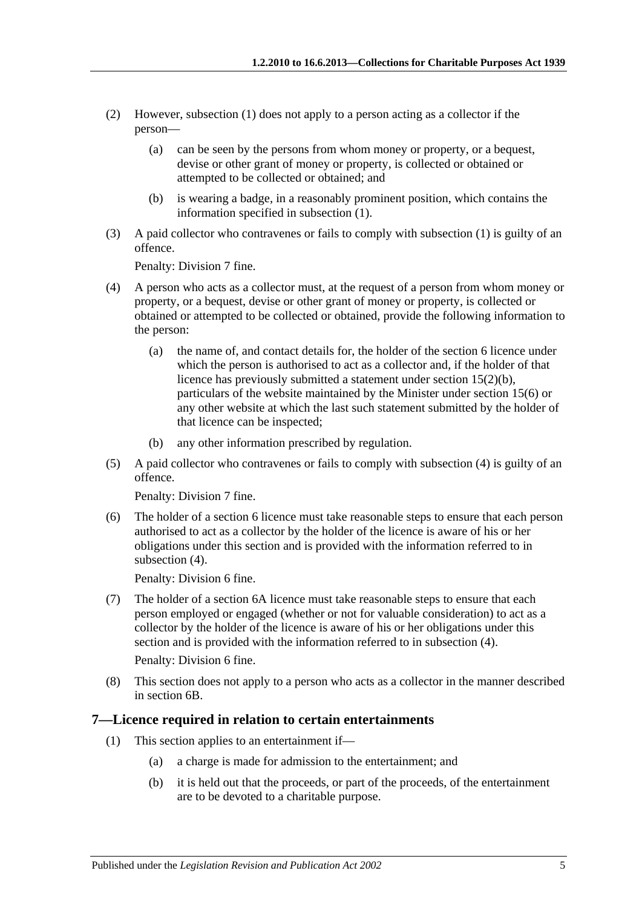- (2) However, [subsection](#page-3-3) (1) does not apply to a person acting as a collector if the person—
	- (a) can be seen by the persons from whom money or property, or a bequest, devise or other grant of money or property, is collected or obtained or attempted to be collected or obtained; and
	- (b) is wearing a badge, in a reasonably prominent position, which contains the information specified in [subsection](#page-3-3) (1).
- (3) A paid collector who contravenes or fails to comply with [subsection](#page-3-3) (1) is guilty of an offence.

Penalty: Division 7 fine.

- <span id="page-4-1"></span>(4) A person who acts as a collector must, at the request of a person from whom money or property, or a bequest, devise or other grant of money or property, is collected or obtained or attempted to be collected or obtained, provide the following information to the person:
	- (a) the name of, and contact details for, the holder of the [section](#page-2-0) 6 licence under which the person is authorised to act as a collector and, if the holder of that licence has previously submitted a statement under section [15\(2\)\(b\),](#page-7-2) particulars of the website maintained by the Minister under [section](#page-8-2) 15(6) or any other website at which the last such statement submitted by the holder of that licence can be inspected;
	- (b) any other information prescribed by regulation.
- (5) A paid collector who contravenes or fails to comply with [subsection](#page-4-1) (4) is guilty of an offence.

Penalty: Division 7 fine.

(6) The holder of a [section](#page-2-0) 6 licence must take reasonable steps to ensure that each person authorised to act as a collector by the holder of the licence is aware of his or her obligations under this section and is provided with the information referred to in [subsection](#page-4-1)  $(4)$ .

Penalty: Division 6 fine.

(7) The holder of a [section](#page-2-1) 6A licence must take reasonable steps to ensure that each person employed or engaged (whether or not for valuable consideration) to act as a collector by the holder of the licence is aware of his or her obligations under this section and is provided with the information referred to in [subsection](#page-4-1) (4).

Penalty: Division 6 fine.

(8) This section does not apply to a person who acts as a collector in the manner described in [section](#page-3-0) 6B.

#### <span id="page-4-0"></span>**7—Licence required in relation to certain entertainments**

- (1) This section applies to an entertainment if—
	- (a) a charge is made for admission to the entertainment; and
	- (b) it is held out that the proceeds, or part of the proceeds, of the entertainment are to be devoted to a charitable purpose.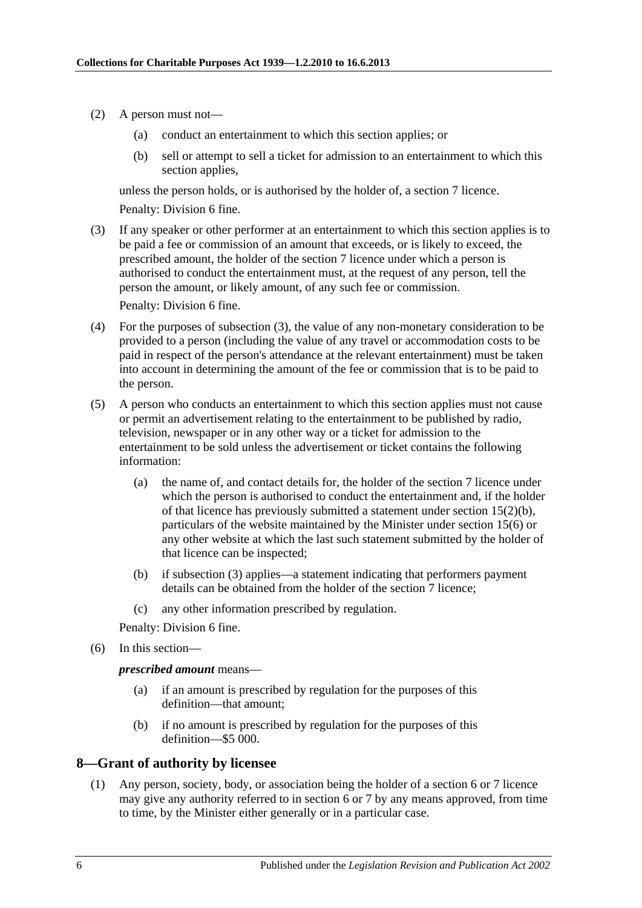- (2) A person must not—
	- (a) conduct an entertainment to which this section applies; or
	- (b) sell or attempt to sell a ticket for admission to an entertainment to which this section applies,

unless the person holds, or is authorised by the holder of, a [section](#page-4-0) 7 licence. Penalty: Division 6 fine.

<span id="page-5-1"></span>(3) If any speaker or other performer at an entertainment to which this section applies is to be paid a fee or commission of an amount that exceeds, or is likely to exceed, the prescribed amount, the holder of the [section](#page-4-0) 7 licence under which a person is authorised to conduct the entertainment must, at the request of any person, tell the person the amount, or likely amount, of any such fee or commission.

Penalty: Division 6 fine.

- (4) For the purposes of [subsection](#page-5-1) (3), the value of any non-monetary consideration to be provided to a person (including the value of any travel or accommodation costs to be paid in respect of the person's attendance at the relevant entertainment) must be taken into account in determining the amount of the fee or commission that is to be paid to the person.
- (5) A person who conducts an entertainment to which this section applies must not cause or permit an advertisement relating to the entertainment to be published by radio, television, newspaper or in any other way or a ticket for admission to the entertainment to be sold unless the advertisement or ticket contains the following information:
	- (a) the name of, and contact details for, the holder of the [section](#page-4-0) 7 licence under which the person is authorised to conduct the entertainment and, if the holder of that licence has previously submitted a statement under section [15\(2\)\(b\),](#page-7-2) particulars of the website maintained by the Minister under [section](#page-8-2) 15(6) or any other website at which the last such statement submitted by the holder of that licence can be inspected;
	- (b) if [subsection](#page-5-1) (3) applies—a statement indicating that performers payment details can be obtained from the holder of the [section](#page-4-0) 7 licence;
	- (c) any other information prescribed by regulation.

Penalty: Division 6 fine.

(6) In this section—

*prescribed amount* means—

- (a) if an amount is prescribed by regulation for the purposes of this definition—that amount;
- (b) if no amount is prescribed by regulation for the purposes of this definition—\$5 000.

## <span id="page-5-0"></span>**8—Grant of authority by licensee**

(1) Any person, society, body, or association being the holder of a [section](#page-2-0) 6 or [7](#page-4-0) licence may give any authority referred to in section 6 or 7 by any means approved, from time to time, by the Minister either generally or in a particular case.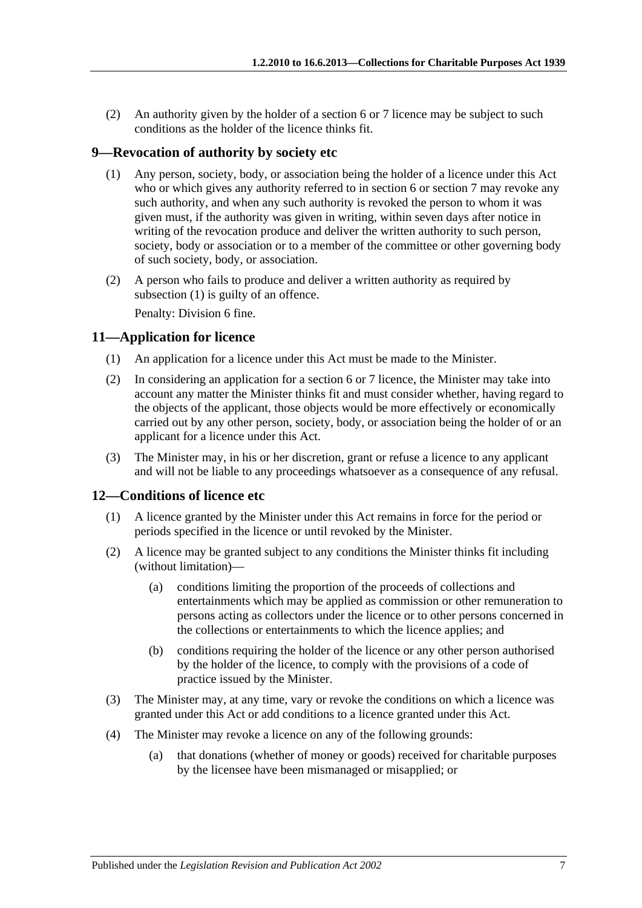(2) An authority given by the holder of a [section](#page-2-0) 6 or [7](#page-4-0) licence may be subject to such conditions as the holder of the licence thinks fit.

## <span id="page-6-3"></span><span id="page-6-0"></span>**9—Revocation of authority by society etc**

- (1) Any person, society, body, or association being the holder of a licence under this Act who or which gives any authority referred to in section 6 or section 7 may revoke any such authority, and when any such authority is revoked the person to whom it was given must, if the authority was given in writing, within seven days after notice in writing of the revocation produce and deliver the written authority to such person, society, body or association or to a member of the committee or other governing body of such society, body, or association.
- (2) A person who fails to produce and deliver a written authority as required by [subsection](#page-6-3) (1) is guilty of an offence. Penalty: Division 6 fine.

## <span id="page-6-1"></span>**11—Application for licence**

- (1) An application for a licence under this Act must be made to the Minister.
- (2) In considering an application for a [section](#page-2-0) 6 or [7](#page-4-0) licence, the Minister may take into account any matter the Minister thinks fit and must consider whether, having regard to the objects of the applicant, those objects would be more effectively or economically carried out by any other person, society, body, or association being the holder of or an applicant for a licence under this Act.
- (3) The Minister may, in his or her discretion, grant or refuse a licence to any applicant and will not be liable to any proceedings whatsoever as a consequence of any refusal.

## <span id="page-6-2"></span>**12—Conditions of licence etc**

- (1) A licence granted by the Minister under this Act remains in force for the period or periods specified in the licence or until revoked by the Minister.
- (2) A licence may be granted subject to any conditions the Minister thinks fit including (without limitation)—
	- (a) conditions limiting the proportion of the proceeds of collections and entertainments which may be applied as commission or other remuneration to persons acting as collectors under the licence or to other persons concerned in the collections or entertainments to which the licence applies; and
	- (b) conditions requiring the holder of the licence or any other person authorised by the holder of the licence, to comply with the provisions of a code of practice issued by the Minister.
- (3) The Minister may, at any time, vary or revoke the conditions on which a licence was granted under this Act or add conditions to a licence granted under this Act.
- (4) The Minister may revoke a licence on any of the following grounds:
	- (a) that donations (whether of money or goods) received for charitable purposes by the licensee have been mismanaged or misapplied; or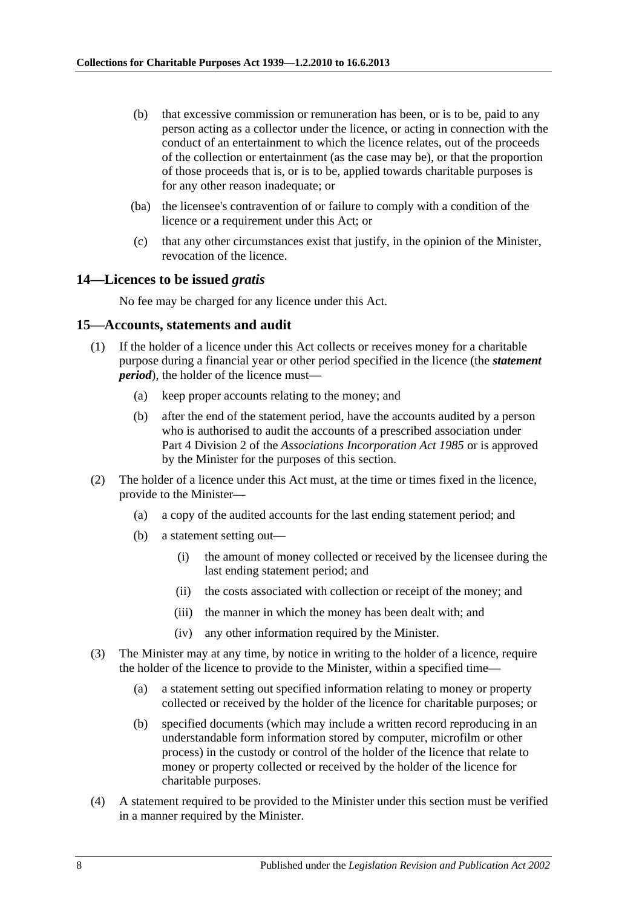- (b) that excessive commission or remuneration has been, or is to be, paid to any person acting as a collector under the licence, or acting in connection with the conduct of an entertainment to which the licence relates, out of the proceeds of the collection or entertainment (as the case may be), or that the proportion of those proceeds that is, or is to be, applied towards charitable purposes is for any other reason inadequate; or
- (ba) the licensee's contravention of or failure to comply with a condition of the licence or a requirement under this Act; or
- (c) that any other circumstances exist that justify, in the opinion of the Minister, revocation of the licence.

#### <span id="page-7-0"></span>**14—Licences to be issued** *gratis*

No fee may be charged for any licence under this Act.

#### <span id="page-7-1"></span>**15—Accounts, statements and audit**

- (1) If the holder of a licence under this Act collects or receives money for a charitable purpose during a financial year or other period specified in the licence (the *statement period*), the holder of the licence must—
	- (a) keep proper accounts relating to the money; and
	- (b) after the end of the statement period, have the accounts audited by a person who is authorised to audit the accounts of a prescribed association under Part 4 Division 2 of the *[Associations Incorporation Act](http://www.legislation.sa.gov.au/index.aspx?action=legref&type=act&legtitle=Associations%20Incorporation%20Act%201985) 1985* or is approved by the Minister for the purposes of this section.
- <span id="page-7-2"></span>(2) The holder of a licence under this Act must, at the time or times fixed in the licence, provide to the Minister—
	- (a) a copy of the audited accounts for the last ending statement period; and
	- (b) a statement setting out—
		- (i) the amount of money collected or received by the licensee during the last ending statement period; and
		- (ii) the costs associated with collection or receipt of the money; and
		- (iii) the manner in which the money has been dealt with; and
		- (iv) any other information required by the Minister.
- (3) The Minister may at any time, by notice in writing to the holder of a licence, require the holder of the licence to provide to the Minister, within a specified time—
	- (a) a statement setting out specified information relating to money or property collected or received by the holder of the licence for charitable purposes; or
	- (b) specified documents (which may include a written record reproducing in an understandable form information stored by computer, microfilm or other process) in the custody or control of the holder of the licence that relate to money or property collected or received by the holder of the licence for charitable purposes.
- (4) A statement required to be provided to the Minister under this section must be verified in a manner required by the Minister.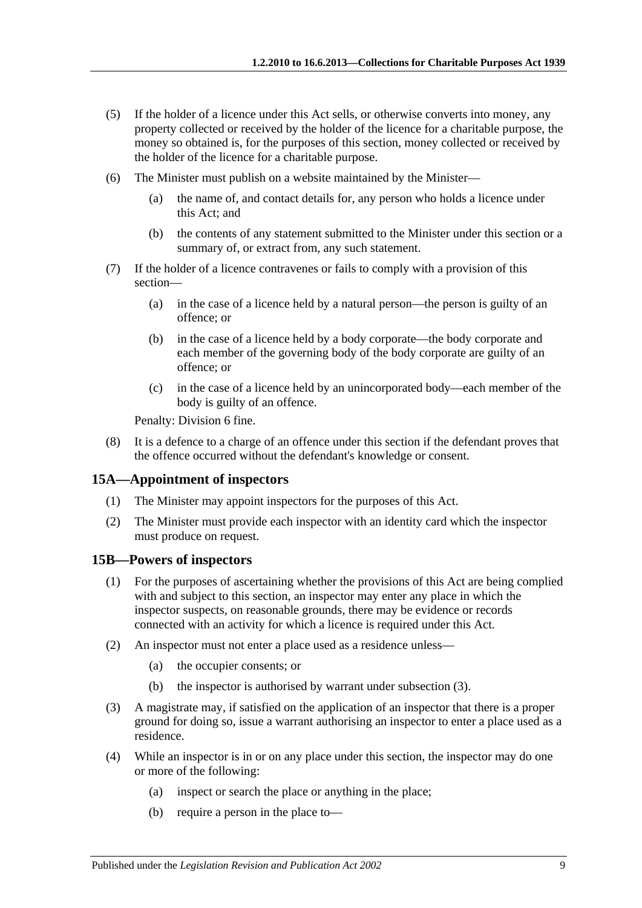- (5) If the holder of a licence under this Act sells, or otherwise converts into money, any property collected or received by the holder of the licence for a charitable purpose, the money so obtained is, for the purposes of this section, money collected or received by the holder of the licence for a charitable purpose.
- <span id="page-8-2"></span>(6) The Minister must publish on a website maintained by the Minister—
	- (a) the name of, and contact details for, any person who holds a licence under this Act; and
	- (b) the contents of any statement submitted to the Minister under this section or a summary of, or extract from, any such statement.
- (7) If the holder of a licence contravenes or fails to comply with a provision of this section—
	- (a) in the case of a licence held by a natural person—the person is guilty of an offence; or
	- (b) in the case of a licence held by a body corporate—the body corporate and each member of the governing body of the body corporate are guilty of an offence; or
	- (c) in the case of a licence held by an unincorporated body—each member of the body is guilty of an offence.

Penalty: Division 6 fine.

(8) It is a defence to a charge of an offence under this section if the defendant proves that the offence occurred without the defendant's knowledge or consent.

## <span id="page-8-0"></span>**15A—Appointment of inspectors**

- (1) The Minister may appoint inspectors for the purposes of this Act.
- (2) The Minister must provide each inspector with an identity card which the inspector must produce on request.

## <span id="page-8-1"></span>**15B—Powers of inspectors**

- (1) For the purposes of ascertaining whether the provisions of this Act are being complied with and subject to this section, an inspector may enter any place in which the inspector suspects, on reasonable grounds, there may be evidence or records connected with an activity for which a licence is required under this Act.
- (2) An inspector must not enter a place used as a residence unless—
	- (a) the occupier consents; or
	- (b) the inspector is authorised by warrant under [subsection](#page-8-3) (3).
- <span id="page-8-3"></span>(3) A magistrate may, if satisfied on the application of an inspector that there is a proper ground for doing so, issue a warrant authorising an inspector to enter a place used as a residence.
- (4) While an inspector is in or on any place under this section, the inspector may do one or more of the following:
	- (a) inspect or search the place or anything in the place;
	- (b) require a person in the place to—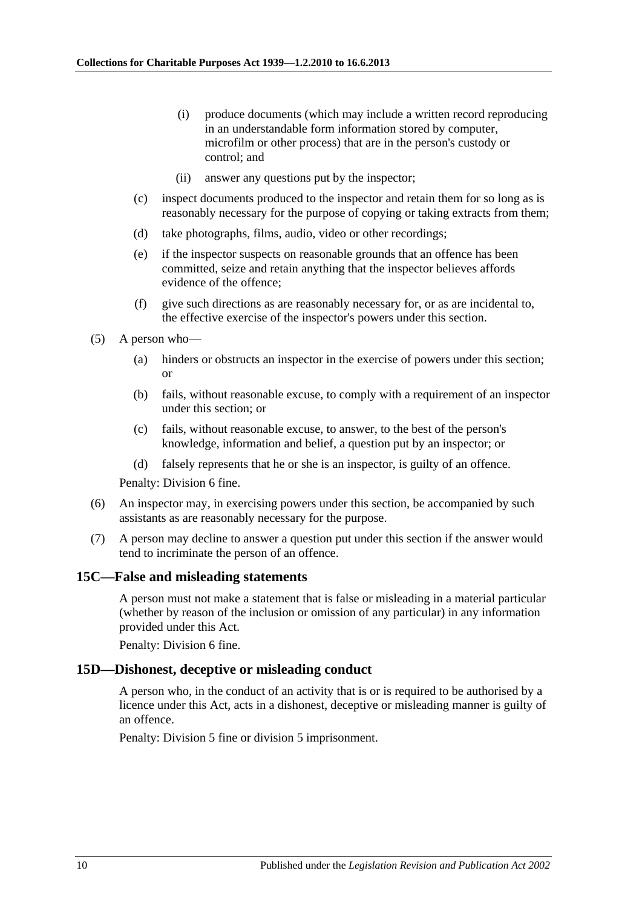- (i) produce documents (which may include a written record reproducing in an understandable form information stored by computer, microfilm or other process) that are in the person's custody or control; and
- (ii) answer any questions put by the inspector;
- (c) inspect documents produced to the inspector and retain them for so long as is reasonably necessary for the purpose of copying or taking extracts from them;
- (d) take photographs, films, audio, video or other recordings;
- (e) if the inspector suspects on reasonable grounds that an offence has been committed, seize and retain anything that the inspector believes affords evidence of the offence;
- (f) give such directions as are reasonably necessary for, or as are incidental to, the effective exercise of the inspector's powers under this section.
- (5) A person who—
	- (a) hinders or obstructs an inspector in the exercise of powers under this section; or
	- (b) fails, without reasonable excuse, to comply with a requirement of an inspector under this section; or
	- (c) fails, without reasonable excuse, to answer, to the best of the person's knowledge, information and belief, a question put by an inspector; or
	- (d) falsely represents that he or she is an inspector, is guilty of an offence.

Penalty: Division 6 fine.

- (6) An inspector may, in exercising powers under this section, be accompanied by such assistants as are reasonably necessary for the purpose.
- (7) A person may decline to answer a question put under this section if the answer would tend to incriminate the person of an offence.

#### <span id="page-9-0"></span>**15C—False and misleading statements**

A person must not make a statement that is false or misleading in a material particular (whether by reason of the inclusion or omission of any particular) in any information provided under this Act.

Penalty: Division 6 fine.

#### <span id="page-9-1"></span>**15D—Dishonest, deceptive or misleading conduct**

A person who, in the conduct of an activity that is or is required to be authorised by a licence under this Act, acts in a dishonest, deceptive or misleading manner is guilty of an offence.

Penalty: Division 5 fine or division 5 imprisonment.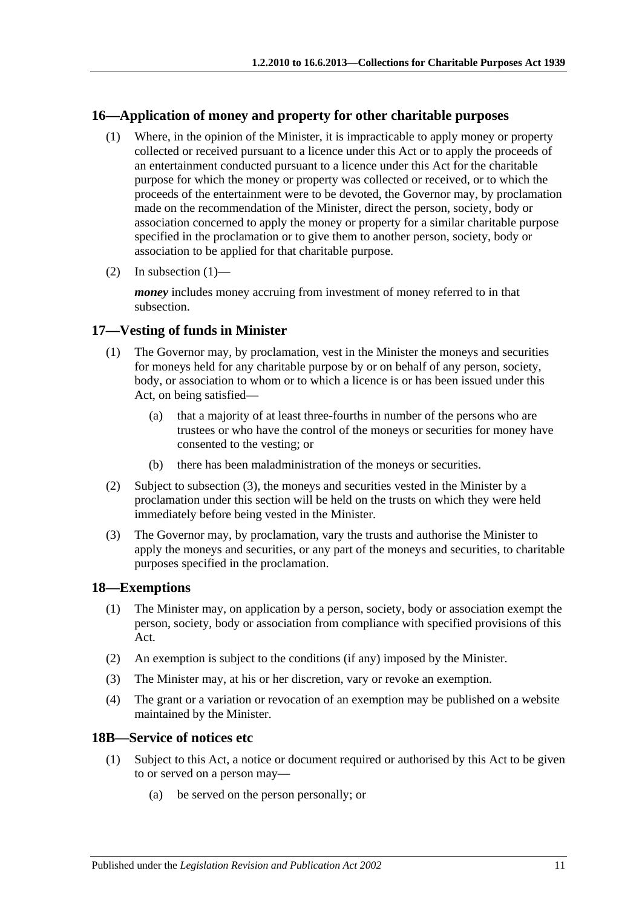## <span id="page-10-4"></span><span id="page-10-0"></span>**16—Application of money and property for other charitable purposes**

- (1) Where, in the opinion of the Minister, it is impracticable to apply money or property collected or received pursuant to a licence under this Act or to apply the proceeds of an entertainment conducted pursuant to a licence under this Act for the charitable purpose for which the money or property was collected or received, or to which the proceeds of the entertainment were to be devoted, the Governor may, by proclamation made on the recommendation of the Minister, direct the person, society, body or association concerned to apply the money or property for a similar charitable purpose specified in the proclamation or to give them to another person, society, body or association to be applied for that charitable purpose.
- (2) In [subsection](#page-10-4)  $(1)$ —

*money* includes money accruing from investment of money referred to in that subsection.

## <span id="page-10-1"></span>**17—Vesting of funds in Minister**

- (1) The Governor may, by proclamation, vest in the Minister the moneys and securities for moneys held for any charitable purpose by or on behalf of any person, society, body, or association to whom or to which a licence is or has been issued under this Act, on being satisfied—
	- (a) that a majority of at least three-fourths in number of the persons who are trustees or who have the control of the moneys or securities for money have consented to the vesting; or
	- (b) there has been maladministration of the moneys or securities.
- (2) Subject to [subsection](#page-10-5) (3), the moneys and securities vested in the Minister by a proclamation under this section will be held on the trusts on which they were held immediately before being vested in the Minister.
- <span id="page-10-5"></span>(3) The Governor may, by proclamation, vary the trusts and authorise the Minister to apply the moneys and securities, or any part of the moneys and securities, to charitable purposes specified in the proclamation.

## <span id="page-10-2"></span>**18—Exemptions**

- (1) The Minister may, on application by a person, society, body or association exempt the person, society, body or association from compliance with specified provisions of this Act.
- (2) An exemption is subject to the conditions (if any) imposed by the Minister.
- (3) The Minister may, at his or her discretion, vary or revoke an exemption.
- (4) The grant or a variation or revocation of an exemption may be published on a website maintained by the Minister.

## <span id="page-10-6"></span><span id="page-10-3"></span>**18B—Service of notices etc**

- (1) Subject to this Act, a notice or document required or authorised by this Act to be given to or served on a person may—
	- (a) be served on the person personally; or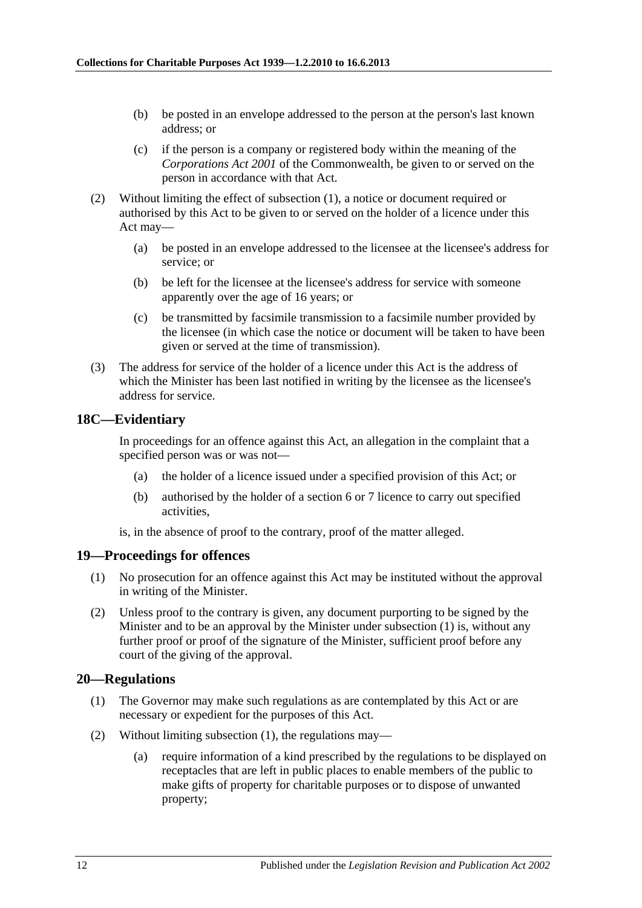- (b) be posted in an envelope addressed to the person at the person's last known address; or
- (c) if the person is a company or registered body within the meaning of the *Corporations Act 2001* of the Commonwealth, be given to or served on the person in accordance with that Act.
- (2) Without limiting the effect of [subsection](#page-10-6) (1), a notice or document required or authorised by this Act to be given to or served on the holder of a licence under this Act may—
	- (a) be posted in an envelope addressed to the licensee at the licensee's address for service; or
	- (b) be left for the licensee at the licensee's address for service with someone apparently over the age of 16 years; or
	- (c) be transmitted by facsimile transmission to a facsimile number provided by the licensee (in which case the notice or document will be taken to have been given or served at the time of transmission).
- (3) The address for service of the holder of a licence under this Act is the address of which the Minister has been last notified in writing by the licensee as the licensee's address for service.

#### <span id="page-11-0"></span>**18C—Evidentiary**

In proceedings for an offence against this Act, an allegation in the complaint that a specified person was or was not—

- (a) the holder of a licence issued under a specified provision of this Act; or
- (b) authorised by the holder of a [section](#page-2-0) 6 or [7](#page-4-0) licence to carry out specified activities,

is, in the absence of proof to the contrary, proof of the matter alleged.

## <span id="page-11-3"></span><span id="page-11-1"></span>**19—Proceedings for offences**

- (1) No prosecution for an offence against this Act may be instituted without the approval in writing of the Minister.
- (2) Unless proof to the contrary is given, any document purporting to be signed by the Minister and to be an approval by the Minister under [subsection](#page-11-3) (1) is, without any further proof or proof of the signature of the Minister, sufficient proof before any court of the giving of the approval.

#### <span id="page-11-4"></span><span id="page-11-2"></span>**20—Regulations**

- (1) The Governor may make such regulations as are contemplated by this Act or are necessary or expedient for the purposes of this Act.
- <span id="page-11-5"></span>(2) Without limiting [subsection](#page-11-4) (1), the regulations may—
	- (a) require information of a kind prescribed by the regulations to be displayed on receptacles that are left in public places to enable members of the public to make gifts of property for charitable purposes or to dispose of unwanted property;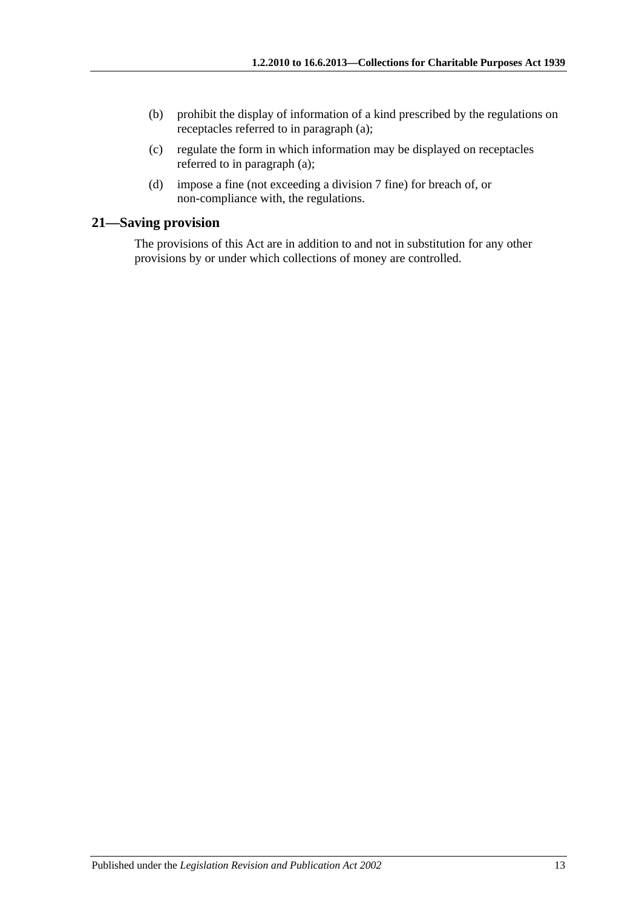- (b) prohibit the display of information of a kind prescribed by the regulations on receptacles referred to in [paragraph](#page-11-5) (a);
- (c) regulate the form in which information may be displayed on receptacles referred to in [paragraph](#page-11-5) (a);
- (d) impose a fine (not exceeding a division 7 fine) for breach of, or non-compliance with, the regulations.

## <span id="page-12-0"></span>**21—Saving provision**

The provisions of this Act are in addition to and not in substitution for any other provisions by or under which collections of money are controlled.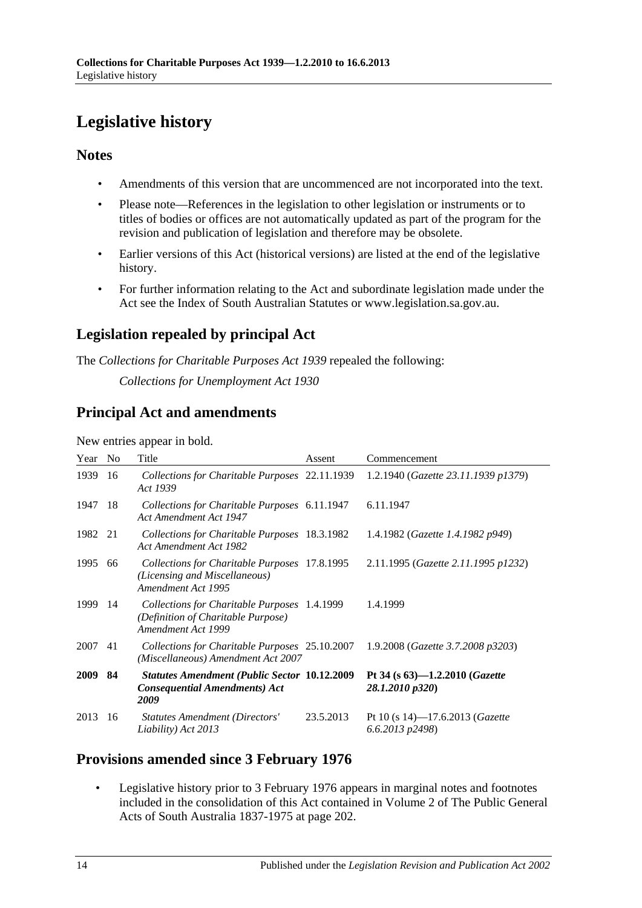# <span id="page-13-0"></span>**Legislative history**

## **Notes**

- Amendments of this version that are uncommenced are not incorporated into the text.
- Please note—References in the legislation to other legislation or instruments or to titles of bodies or offices are not automatically updated as part of the program for the revision and publication of legislation and therefore may be obsolete.
- Earlier versions of this Act (historical versions) are listed at the end of the legislative history.
- For further information relating to the Act and subordinate legislation made under the Act see the Index of South Australian Statutes or www.legislation.sa.gov.au.

# **Legislation repealed by principal Act**

The *Collections for Charitable Purposes Act 1939* repealed the following:

*Collections for Unemployment Act 1930*

# **Principal Act and amendments**

New entries appear in bold.

| Year        | N <sub>o</sub> | Title                                                                                                    | Assent    | Commencement                                                 |
|-------------|----------------|----------------------------------------------------------------------------------------------------------|-----------|--------------------------------------------------------------|
| 1939        | 16             | Collections for Charitable Purposes 22.11.1939<br>Act 1939                                               |           | 1.2.1940 (Gazette 23.11.1939 p1379)                          |
| 1947        | 18             | Collections for Charitable Purposes 6.11.1947<br>Act Amendment Act 1947                                  |           | 6.11.1947                                                    |
| 1982 21     |                | Collections for Charitable Purposes 18.3.1982<br>Act Amendment Act 1982                                  |           | 1.4.1982 ( <i>Gazette 1.4.1982 p949</i> )                    |
| 1995        | 66             | Collections for Charitable Purposes 17.8.1995<br>(Licensing and Miscellaneous)<br>Amendment Act 1995     |           | 2.11.1995 (Gazette 2.11.1995 p1232)                          |
| 1999        | -14            | Collections for Charitable Purposes 1.4.1999<br>(Definition of Charitable Purpose)<br>Amendment Act 1999 |           | 1.4.1999                                                     |
| 2007        | 41             | Collections for Charitable Purposes 25.10.2007<br>(Miscellaneous) Amendment Act 2007                     |           | 1.9.2008 (Gazette 3.7.2008 p3203)                            |
| <b>2009</b> | 84             | <b>Statutes Amendment (Public Sector 10.12.2009)</b><br><b>Consequential Amendments) Act</b><br>2009     |           | Pt 34 (s $63$ )-1.2.2010 ( <i>Gazette</i><br>28.1.2010 p320) |
| 2013        | 16             | <b>Statutes Amendment (Directors'</b><br>Liability) Act 2013                                             | 23.5.2013 | Pt 10 (s 14)-17.6.2013 ( <i>Gazette</i><br>6.6.2013 p2498)   |

# **Provisions amended since 3 February 1976**

• Legislative history prior to 3 February 1976 appears in marginal notes and footnotes included in the consolidation of this Act contained in Volume 2 of The Public General Acts of South Australia 1837-1975 at page 202.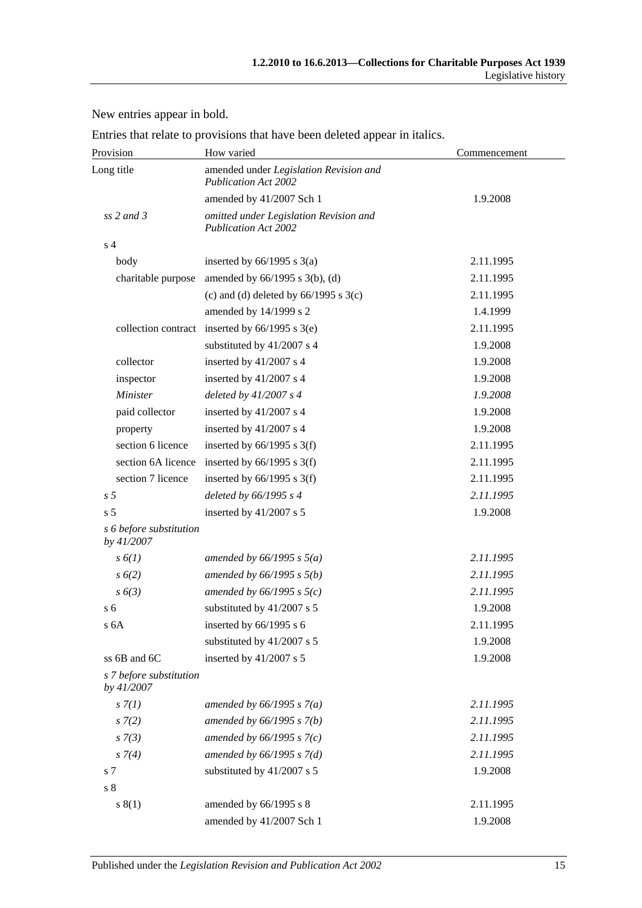New entries appear in bold.

|  |  |  | Entries that relate to provisions that have been deleted appear in italics. |
|--|--|--|-----------------------------------------------------------------------------|
|--|--|--|-----------------------------------------------------------------------------|

| Provision                             | How varied                                                            | Commencement |  |
|---------------------------------------|-----------------------------------------------------------------------|--------------|--|
| Long title                            | amended under Legislation Revision and<br><b>Publication Act 2002</b> |              |  |
|                                       | amended by 41/2007 Sch 1                                              | 1.9.2008     |  |
| $ss$ 2 and 3                          | omitted under Legislation Revision and<br><b>Publication Act 2002</b> |              |  |
| s <sub>4</sub>                        |                                                                       |              |  |
| body                                  | inserted by $66/1995$ s $3(a)$                                        | 2.11.1995    |  |
| charitable purpose                    | amended by $66/1995$ s $3(b)$ , (d)                                   | 2.11.1995    |  |
|                                       | (c) and (d) deleted by $66/1995$ s $3(c)$                             | 2.11.1995    |  |
|                                       | amended by 14/1999 s 2                                                | 1.4.1999     |  |
|                                       | collection contract inserted by 66/1995 s 3(e)                        | 2.11.1995    |  |
|                                       | substituted by 41/2007 s 4                                            | 1.9.2008     |  |
| collector                             | inserted by 41/2007 s 4                                               | 1.9.2008     |  |
| inspector                             | inserted by $41/2007$ s 4                                             | 1.9.2008     |  |
| Minister                              | deleted by $41/2007 s 4$                                              | 1.9.2008     |  |
| paid collector                        | inserted by 41/2007 s 4                                               | 1.9.2008     |  |
| property                              | inserted by $41/2007$ s 4                                             | 1.9.2008     |  |
| section 6 licence                     | inserted by $66/1995$ s 3(f)                                          | 2.11.1995    |  |
| section 6A licence                    | inserted by $66/1995$ s 3(f)                                          | 2.11.1995    |  |
| section 7 licence                     | inserted by $66/1995$ s 3(f)                                          | 2.11.1995    |  |
| s <sub>5</sub>                        | deleted by 66/1995 s 4                                                | 2.11.1995    |  |
| s <sub>5</sub>                        | inserted by $41/2007$ s 5                                             | 1.9.2008     |  |
| s 6 before substitution<br>by 41/2007 |                                                                       |              |  |
| $s\delta(1)$                          | amended by $66/1995$ s $5(a)$                                         | 2.11.1995    |  |
| $s\,6(2)$                             | amended by $66/1995 s 5(b)$                                           | 2.11.1995    |  |
| s(6(3)                                | amended by $66/1995$ s $5(c)$                                         | 2.11.1995    |  |
| s <sub>6</sub>                        | substituted by 41/2007 s 5                                            | 1.9.2008     |  |
| s 6A                                  | inserted by $66/1995$ s 6                                             | 2.11.1995    |  |
|                                       | substituted by 41/2007 s 5                                            | 1.9.2008     |  |
| ss 6B and 6C                          | inserted by 41/2007 s 5                                               | 1.9.2008     |  |
| s 7 before substitution<br>by 41/2007 |                                                                       |              |  |
| s(1)                                  | amended by $66/1995 s 7(a)$                                           | 2.11.1995    |  |
| $s \, 7(2)$                           | amended by 66/1995 s 7(b)                                             | 2.11.1995    |  |
| $s \, 7(3)$                           | amended by $66/1995 s 7(c)$                                           | 2.11.1995    |  |
| $s \, 7(4)$                           | amended by $66/1995 s 7(d)$                                           | 2.11.1995    |  |
| s 7                                   | substituted by 41/2007 s 5                                            | 1.9.2008     |  |
| s <sub>8</sub>                        |                                                                       |              |  |
| s(1)                                  | amended by 66/1995 s 8                                                | 2.11.1995    |  |
|                                       | amended by 41/2007 Sch 1                                              | 1.9.2008     |  |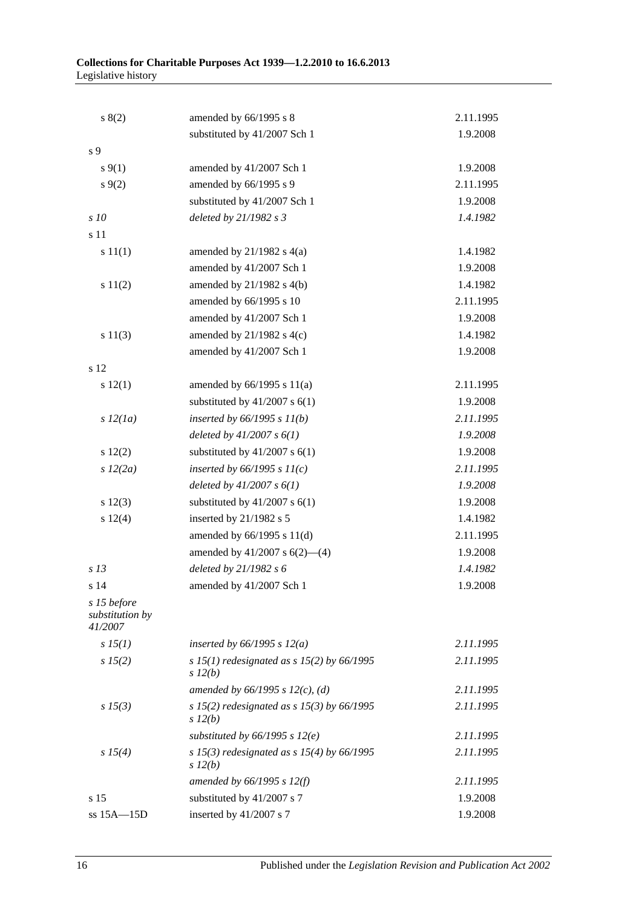| s(2)                                      | amended by 66/1995 s 8                                     | 2.11.1995 |
|-------------------------------------------|------------------------------------------------------------|-----------|
|                                           | substituted by 41/2007 Sch 1                               | 1.9.2008  |
| s <sub>9</sub>                            |                                                            |           |
| $s \, 9(1)$                               | amended by 41/2007 Sch 1                                   | 1.9.2008  |
| $s \, 9(2)$                               | amended by 66/1995 s 9                                     | 2.11.1995 |
|                                           | substituted by 41/2007 Sch 1                               | 1.9.2008  |
| s10                                       | deleted by 21/1982 s 3                                     | 1.4.1982  |
| s 11                                      |                                                            |           |
| s 11(1)                                   | amended by $21/1982$ s $4(a)$                              | 1.4.1982  |
|                                           | amended by 41/2007 Sch 1                                   | 1.9.2008  |
| s 11(2)                                   | amended by 21/1982 s 4(b)                                  | 1.4.1982  |
|                                           | amended by 66/1995 s 10                                    | 2.11.1995 |
|                                           | amended by 41/2007 Sch 1                                   | 1.9.2008  |
| s 11(3)                                   | amended by $21/1982$ s 4(c)                                | 1.4.1982  |
|                                           | amended by 41/2007 Sch 1                                   | 1.9.2008  |
| s 12                                      |                                                            |           |
| s 12(1)                                   | amended by $66/1995$ s $11(a)$                             | 2.11.1995 |
|                                           | substituted by $41/2007$ s $6(1)$                          | 1.9.2008  |
| s 12(1a)                                  | inserted by $66/1995 s 11(b)$                              | 2.11.1995 |
|                                           | deleted by $41/2007 s 6(1)$                                | 1.9.2008  |
| 12(2)                                     | substituted by $41/2007$ s $6(1)$                          | 1.9.2008  |
| s 12(2a)                                  | inserted by $66/1995 s 11(c)$                              | 2.11.1995 |
|                                           | deleted by $41/2007 s 6(1)$                                | 1.9.2008  |
| s 12(3)                                   | substituted by $41/2007$ s $6(1)$                          | 1.9.2008  |
| s 12(4)                                   | inserted by 21/1982 s 5                                    | 1.4.1982  |
|                                           | amended by $66/1995$ s $11(d)$                             | 2.11.1995 |
|                                           | amended by $41/2007$ s $6(2)$ —(4)                         | 1.9.2008  |
| s <sub>13</sub>                           | deleted by 21/1982 s 6                                     | 1.4.1982  |
| s 14                                      | amended by 41/2007 Sch 1                                   | 1.9.2008  |
| s 15 before<br>substitution by<br>41/2007 |                                                            |           |
| $s\,15(1)$                                | inserted by $66/1995$ s $12(a)$                            | 2.11.1995 |
| $s\,15(2)$                                | s 15(1) redesignated as s 15(2) by 66/1995<br>$s\,l2(b)$   | 2.11.1995 |
|                                           | amended by $66/1995$ s $12(c)$ , (d)                       | 2.11.1995 |
| $s\,15(3)$                                | s 15(2) redesignated as s 15(3) by $66/1995$<br>$s\,l2(b)$ | 2.11.1995 |
|                                           | substituted by $66/1995$ s $12(e)$                         | 2.11.1995 |
| s 15(4)                                   | s 15(3) redesignated as s 15(4) by $66/1995$<br>$s\,l2(b)$ | 2.11.1995 |
|                                           | amended by $66/1995$ s $12(f)$                             | 2.11.1995 |
| s 15                                      | substituted by 41/2007 s 7                                 | 1.9.2008  |
| ss 15A-15D                                | inserted by 41/2007 s 7                                    | 1.9.2008  |